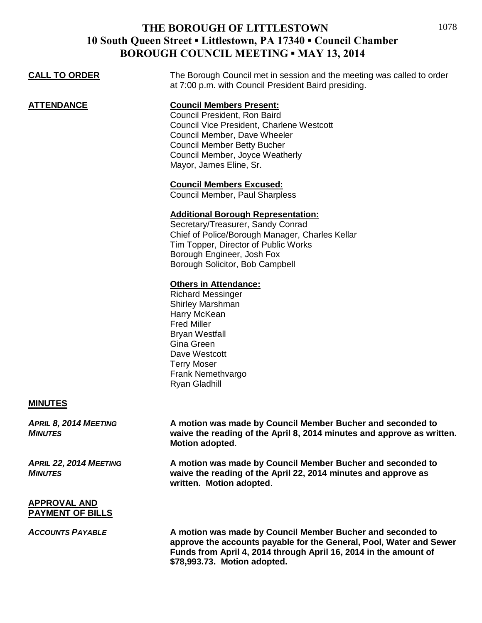| <u>CALL TO ORDER</u> | The Borough Council met in session and the meeting was called to order<br>at 7:00 p.m. with Council President Baird presiding.                                                                                                                                                                                  |
|----------------------|-----------------------------------------------------------------------------------------------------------------------------------------------------------------------------------------------------------------------------------------------------------------------------------------------------------------|
| ATTENDANCE           | <b>Council Members Present:</b><br>Council President, Ron Baird<br><b>Council Vice President, Charlene Westcott</b><br>Council Member, Dave Wheeler<br><b>Council Member Betty Bucher</b><br>Council Member, Joyce Weatherly<br>Mayor, James Eline, Sr.                                                         |
|                      | <b>Council Members Excused:</b><br>Council Member, Paul Sharpless<br><b>Additional Borough Representation:</b><br>Secretary/Treasurer, Sandy Conrad<br>Chief of Police/Borough Manager, Charles Kellar<br>Tim Topper, Director of Public Works<br>Borough Engineer, Josh Fox<br>Borough Solicitor, Bob Campbell |
|                      | <b>Others in Attendance:</b><br><b>Richard Messinger</b><br>Shirley Marshman<br>Harry McKean<br><b>Fred Miller</b>                                                                                                                                                                                              |

Bryan Westfall Gina Green Dave Westcott Terry Moser Frank Nemethvargo Ryan Gladhill

#### **MINUTES**

*APRIL 8, 2014 MEETING* **A motion was made by Council Member Bucher and seconded to**  *MINUTES* **waive the reading of the April 8, 2014 minutes and approve as written. Motion adopted**.

*APRIL 22, 2014 MEETING* **A motion was made by Council Member Bucher and seconded to**  *MINUTES* **waive the reading of the April 22, 2014 minutes and approve as written. Motion adopted**.

#### **APPROVAL AND PAYMENT OF BILLS**

*ACCOUNTS PAYABLE* **A motion was made by Council Member Bucher and seconded to approve the accounts payable for the General, Pool, Water and Sewer Funds from April 4, 2014 through April 16, 2014 in the amount of \$78,993.73. Motion adopted.**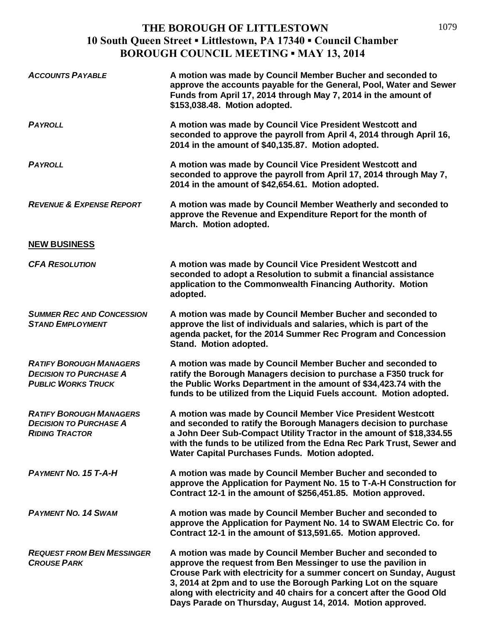| <b>ACCOUNTS PAYABLE</b>                                                                      | A motion was made by Council Member Bucher and seconded to<br>approve the accounts payable for the General, Pool, Water and Sewer<br>Funds from April 17, 2014 through May 7, 2014 in the amount of<br>\$153,038.48. Motion adopted.                                                                                                                                                                         |
|----------------------------------------------------------------------------------------------|--------------------------------------------------------------------------------------------------------------------------------------------------------------------------------------------------------------------------------------------------------------------------------------------------------------------------------------------------------------------------------------------------------------|
| <b>PAYROLL</b>                                                                               | A motion was made by Council Vice President Westcott and<br>seconded to approve the payroll from April 4, 2014 through April 16,<br>2014 in the amount of \$40,135.87. Motion adopted.                                                                                                                                                                                                                       |
| <b>PAYROLL</b>                                                                               | A motion was made by Council Vice President Westcott and<br>seconded to approve the payroll from April 17, 2014 through May 7,<br>2014 in the amount of \$42,654.61. Motion adopted.                                                                                                                                                                                                                         |
| <b>REVENUE &amp; EXPENSE REPORT</b>                                                          | A motion was made by Council Member Weatherly and seconded to<br>approve the Revenue and Expenditure Report for the month of<br>March. Motion adopted.                                                                                                                                                                                                                                                       |
| <b>NEW BUSINESS</b>                                                                          |                                                                                                                                                                                                                                                                                                                                                                                                              |
| <b>CFA RESOLUTION</b>                                                                        | A motion was made by Council Vice President Westcott and<br>seconded to adopt a Resolution to submit a financial assistance<br>application to the Commonwealth Financing Authority. Motion<br>adopted.                                                                                                                                                                                                       |
| <b>SUMMER REC AND CONCESSION</b><br><b>STAND EMPLOYMENT</b>                                  | A motion was made by Council Member Bucher and seconded to<br>approve the list of individuals and salaries, which is part of the<br>agenda packet, for the 2014 Summer Rec Program and Concession<br>Stand. Motion adopted.                                                                                                                                                                                  |
| <b>RATIFY BOROUGH MANAGERS</b><br><b>DECISION TO PURCHASE A</b><br><b>PUBLIC WORKS TRUCK</b> | A motion was made by Council Member Bucher and seconded to<br>ratify the Borough Managers decision to purchase a F350 truck for<br>the Public Works Department in the amount of \$34,423.74 with the<br>funds to be utilized from the Liquid Fuels account. Motion adopted.                                                                                                                                  |
| <b>RATIFY BOROUGH MANAGERS</b><br><b>DECISION TO PURCHASE A</b><br><b>RIDING TRACTOR</b>     | A motion was made by Council Member Vice President Westcott<br>and seconded to ratify the Borough Managers decision to purchase<br>a John Deer Sub-Compact Utility Tractor in the amount of \$18,334.55<br>with the funds to be utilized from the Edna Rec Park Trust, Sewer and<br>Water Capital Purchases Funds. Motion adopted.                                                                           |
| <b>PAYMENT NO. 15 T-A-H</b>                                                                  | A motion was made by Council Member Bucher and seconded to<br>approve the Application for Payment No. 15 to T-A-H Construction for<br>Contract 12-1 in the amount of \$256,451.85. Motion approved.                                                                                                                                                                                                          |
| <b>PAYMENT NO. 14 SWAM</b>                                                                   | A motion was made by Council Member Bucher and seconded to<br>approve the Application for Payment No. 14 to SWAM Electric Co. for<br>Contract 12-1 in the amount of \$13,591.65. Motion approved.                                                                                                                                                                                                            |
| <b>REQUEST FROM BEN MESSINGER</b><br><b>CROUSE PARK</b>                                      | A motion was made by Council Member Bucher and seconded to<br>approve the request from Ben Messinger to use the pavilion in<br>Crouse Park with electricity for a summer concert on Sunday, August<br>3, 2014 at 2pm and to use the Borough Parking Lot on the square<br>along with electricity and 40 chairs for a concert after the Good Old<br>Days Parade on Thursday, August 14, 2014. Motion approved. |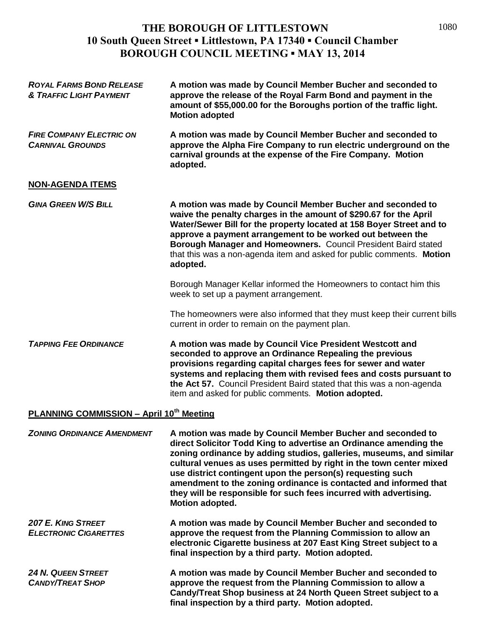| <b>ROYAL FARMS BOND RELEASE</b><br><b>&amp; TRAFFIC LIGHT PAYMENT</b> | A motion was made by Council Member Bucher and seconded to<br>approve the release of the Royal Farm Bond and payment in the<br>amount of \$55,000.00 for the Boroughs portion of the traffic light.<br><b>Motion adopted</b>                                                                                                                                                                                                                                                                            |  |
|-----------------------------------------------------------------------|---------------------------------------------------------------------------------------------------------------------------------------------------------------------------------------------------------------------------------------------------------------------------------------------------------------------------------------------------------------------------------------------------------------------------------------------------------------------------------------------------------|--|
| <b>FIRE COMPANY ELECTRIC ON</b><br><b>CARNIVAL GROUNDS</b>            | A motion was made by Council Member Bucher and seconded to<br>approve the Alpha Fire Company to run electric underground on the<br>carnival grounds at the expense of the Fire Company. Motion<br>adopted.                                                                                                                                                                                                                                                                                              |  |
| <b>NON-AGENDA ITEMS</b>                                               |                                                                                                                                                                                                                                                                                                                                                                                                                                                                                                         |  |
| <b>GINA GREEN W/S BILL</b>                                            | A motion was made by Council Member Bucher and seconded to<br>waive the penalty charges in the amount of \$290.67 for the April<br>Water/Sewer Bill for the property located at 158 Boyer Street and to<br>approve a payment arrangement to be worked out between the<br>Borough Manager and Homeowners. Council President Baird stated<br>that this was a non-agenda item and asked for public comments. Motion<br>adopted.                                                                            |  |
|                                                                       | Borough Manager Kellar informed the Homeowners to contact him this<br>week to set up a payment arrangement.                                                                                                                                                                                                                                                                                                                                                                                             |  |
|                                                                       | The homeowners were also informed that they must keep their current bills<br>current in order to remain on the payment plan.                                                                                                                                                                                                                                                                                                                                                                            |  |
| <b>TAPPING FEE ORDINANCE</b>                                          | A motion was made by Council Vice President Westcott and<br>seconded to approve an Ordinance Repealing the previous<br>provisions regarding capital charges fees for sewer and water<br>systems and replacing them with revised fees and costs pursuant to<br>the Act 57. Council President Baird stated that this was a non-agenda<br>item and asked for public comments. Motion adopted.                                                                                                              |  |
| <b>PLANNING COMMISSION - April 10th Meeting</b>                       |                                                                                                                                                                                                                                                                                                                                                                                                                                                                                                         |  |
| <b>ZONING ORDINANCE AMENDMENT</b>                                     | A motion was made by Council Member Bucher and seconded to<br>direct Solicitor Todd King to advertise an Ordinance amending the<br>zoning ordinance by adding studios, galleries, museums, and similar<br>cultural venues as uses permitted by right in the town center mixed<br>use district contingent upon the person(s) requesting such<br>amendment to the zoning ordinance is contacted and informed that<br>they will be responsible for such fees incurred with advertising.<br>Motion adopted. |  |

| 207 E. KING STREET<br><b>ELECTRONIC CIGARETTES</b> | A motion was made by Council Member Bucher and seconded to<br>approve the request from the Planning Commission to allow an<br>electronic Cigarette business at 207 East King Street subject to a<br>final inspection by a third party. Motion adopted. |
|----------------------------------------------------|--------------------------------------------------------------------------------------------------------------------------------------------------------------------------------------------------------------------------------------------------------|
| 24 N. QUEEN STREET                                 | A motion was made by Council Member Bucher and seconded to                                                                                                                                                                                             |

*24 N. QUEEN STREET* **A motion was made by Council Member Bucher and seconded to**  *CANDY/TREAT SHOP* **approve the request from the Planning Commission to allow a Candy/Treat Shop business at 24 North Queen Street subject to a final inspection by a third party. Motion adopted.**